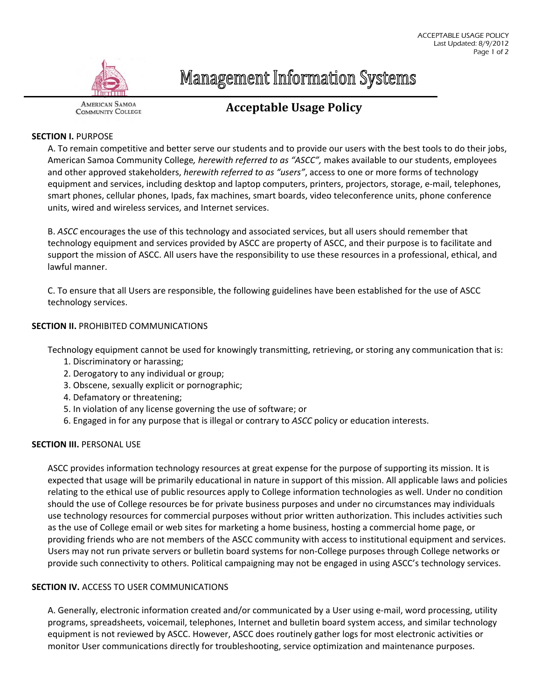

**Management Information Systems** 

#### **AMERICAN SAMOA COMMUNITY COLLEGE**

# **Acceptable Usage Policy**

# **SECTION I.** PURPOSE

A. To remain competitive and better serve our students and to provide our users with the best tools to do their jobs, American Samoa Community College*, herewith referred to as "ASCC",* makes available to our students, employees and other approved stakeholders, *herewith referred to as "users"*, access to one or more forms of technology equipment and services, including desktop and laptop computers, printers, projectors, storage, e-mail, telephones, smart phones, cellular phones, Ipads, fax machines, smart boards, video teleconference units, phone conference units, wired and wireless services, and Internet services.

B. *ASCC* encourages the use of this technology and associated services, but all users should remember that technology equipment and services provided by ASCC are property of ASCC, and their purpose is to facilitate and support the mission of ASCC. All users have the responsibility to use these resources in a professional, ethical, and lawful manner.

C. To ensure that all Users are responsible, the following guidelines have been established for the use of ASCC technology services.

# **SECTION II.** PROHIBITED COMMUNICATIONS

Technology equipment cannot be used for knowingly transmitting, retrieving, or storing any communication that is:

- 1. Discriminatory or harassing;
- 2. Derogatory to any individual or group;
- 3. Obscene, sexually explicit or pornographic;
- 4. Defamatory or threatening;
- 5. In violation of any license governing the use of software; or
- 6. Engaged in for any purpose that is illegal or contrary to *ASCC* policy or education interests.

## **SECTION III.** PERSONAL USE

ASCC provides information technology resources at great expense for the purpose of supporting its mission. It is expected that usage will be primarily educational in nature in support of this mission. All applicable laws and policies relating to the ethical use of public resources apply to College information technologies as well. Under no condition should the use of College resources be for private business purposes and under no circumstances may individuals use technology resources for commercial purposes without prior written authorization. This includes activities such as the use of College email or web sites for marketing a home business, hosting a commercial home page, or providing friends who are not members of the ASCC community with access to institutional equipment and services. Users may not run private servers or bulletin board systems for non‐College purposes through College networks or provide such connectivity to others. Political campaigning may not be engaged in using ASCC's technology services.

## **SECTION IV.** ACCESS TO USER COMMUNICATIONS

A. Generally, electronic information created and/or communicated by a User using e-mail, word processing, utility programs, spreadsheets, voicemail, telephones, Internet and bulletin board system access, and similar technology equipment is not reviewed by ASCC. However, ASCC does routinely gather logs for most electronic activities or monitor User communications directly for troubleshooting, service optimization and maintenance purposes.